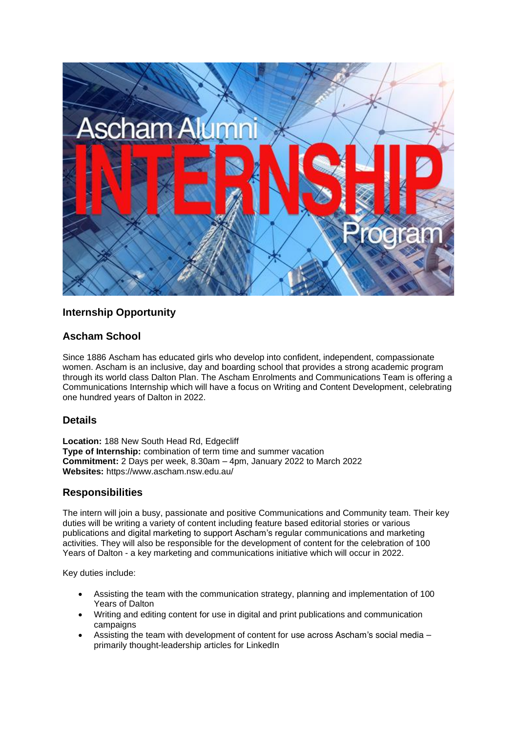

# **Internship Opportunity**

# **Ascham School**

Since 1886 Ascham has educated girls who develop into confident, independent, compassionate women. Ascham is an inclusive, day and boarding school that provides a strong academic program through its world class Dalton Plan. The Ascham Enrolments and Communications Team is offering a Communications Internship which will have a focus on Writing and Content Development, celebrating one hundred years of Dalton in 2022.

### **Details**

**Location:** 188 New South Head Rd, Edgecliff **Type of Internship:** combination of term time and summer vacation **Commitment:** 2 Days per week, 8.30am – 4pm, January 2022 to March 2022 **Websites:** https://www.ascham.nsw.edu.au/

#### **Responsibilities**

The intern will join a busy, passionate and positive Communications and Community team. Their key duties will be writing a variety of content including feature based editorial stories or various publications and digital marketing to support Ascham's regular communications and marketing activities. They will also be responsible for the development of content for the celebration of 100 Years of Dalton - a key marketing and communications initiative which will occur in 2022.

Key duties include:

- Assisting the team with the communication strategy, planning and implementation of *100 Years of Dalton*
- Writing and editing content for use in digital and print publications and communication campaigns
- Assisting the team with development of content for use across Ascham's social media primarily thought-leadership articles for LinkedIn